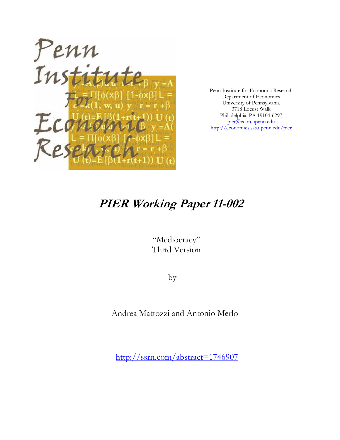

Penn Institute for Economic Research Department of Economics University of Pennsylvania 3718 Locust Walk Philadelphia, PA 19104-6297 pier@econ.upenn.edu http://economics.sas.upenn.edu/pier

# **PIER Working Paper 11-002**

"Mediocracy" Third Version

by

Andrea Mattozzi and Antonio Merlo

http://ssrn.com/abstract=1746907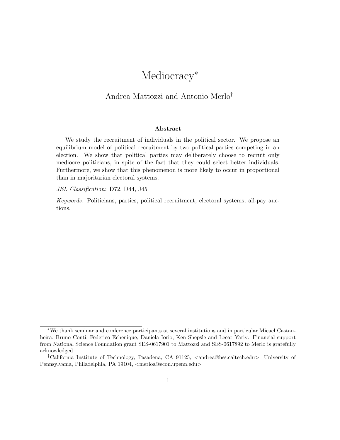## Mediocracy<sup>\*</sup>

### Andrea Mattozzi and Antonio Merlo†

#### Abstract

We study the recruitment of individuals in the political sector. We propose an equilibrium model of political recruitment by two political parties competing in an election. We show that political parties may deliberately choose to recruit only mediocre politicians, in spite of the fact that they could select better individuals. Furthermore, we show that this phenomenon is more likely to occur in proportional than in majoritarian electoral systems.

#### JEL Classification: D72, D44, J45

Keywords: Politicians, parties, political recruitment, electoral systems, all-pay auctions.

<sup>∗</sup>We thank seminar and conference participants at several institutions and in particular Micael Castanheira, Bruno Conti, Federico Echenique, Daniela Iorio, Ken Shepsle and Leeat Yariv. Financial support from National Science Foundation grant SES-0617901 to Mattozzi and SES-0617892 to Merlo is gratefully acknowledged.

<sup>&</sup>lt;sup>†</sup>California Institute of Technology, Pasadena, CA 91125, <andrea@hss.caltech.edu>; University of Pennsylvania, Philadelphia, PA 19104, <merloa@econ.upenn.edu>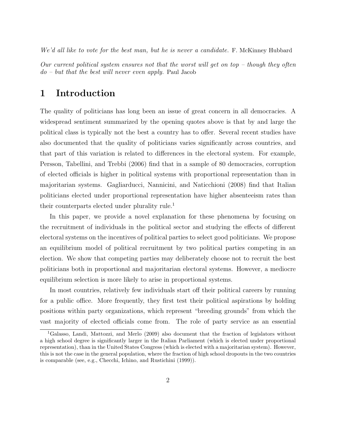We'd all like to vote for the best man, but he is never a candidate. F. McKinney Hubbard

Our current political system ensures not that the worst will get on top  $-$  though they often do – but that the best will never even apply. Paul Jacob

#### 1 Introduction

The quality of politicians has long been an issue of great concern in all democracies. A widespread sentiment summarized by the opening quotes above is that by and large the political class is typically not the best a country has to offer. Several recent studies have also documented that the quality of politicians varies significantly across countries, and that part of this variation is related to differences in the electoral system. For example, Persson, Tabellini, and Trebbi (2006) find that in a sample of 80 democracies, corruption of elected officials is higher in political systems with proportional representation than in majoritarian systems. Gagliarducci, Nannicini, and Naticchioni (2008) find that Italian politicians elected under proportional representation have higher absenteeism rates than their counterparts elected under plurality rule.<sup>1</sup>

In this paper, we provide a novel explanation for these phenomena by focusing on the recruitment of individuals in the political sector and studying the effects of different electoral systems on the incentives of political parties to select good politicians. We propose an equilibrium model of political recruitment by two political parties competing in an election. We show that competing parties may deliberately choose not to recruit the best politicians both in proportional and majoritarian electoral systems. However, a mediocre equilibrium selection is more likely to arise in proportional systems.

In most countries, relatively few individuals start off their political careers by running for a public office. More frequently, they first test their political aspirations by holding positions within party organizations, which represent "breeding grounds" from which the vast majority of elected officials come from. The role of party service as an essential

<sup>1</sup>Galasso, Landi, Mattozzi, and Merlo (2009) also document that the fraction of legislators without a high school degree is significantly larger in the Italian Parliament (which is elected under proportional representation), than in the United States Congress (which is elected with a majoritarian system). However, this is not the case in the general population, where the fraction of high school dropouts in the two countries is comparable (see, e.g., Checchi, Ichino, and Rustichini (1999)).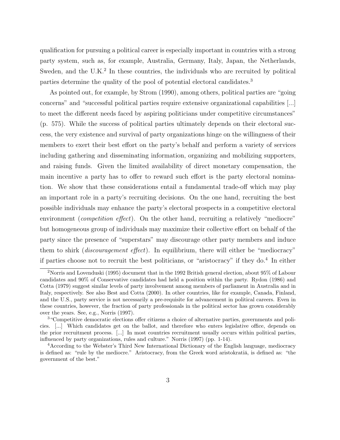qualification for pursuing a political career is especially important in countries with a strong party system, such as, for example, Australia, Germany, Italy, Japan, the Netherlands, Sweden, and the  $U.K.^2$  In these countries, the individuals who are recruited by political parties determine the quality of the pool of potential electoral candidates.<sup>3</sup>

As pointed out, for example, by Strom (1990), among others, political parties are "going concerns" and "successful political parties require extensive organizational capabilities [...] to meet the different needs faced by aspiring politicians under competitive circumstances" (p. 575). While the success of political parties ultimately depends on their electoral success, the very existence and survival of party organizations hinge on the willingness of their members to exert their best effort on the party's behalf and perform a variety of services including gathering and disseminating information, organizing and mobilizing supporters, and raising funds. Given the limited availability of direct monetary compensation, the main incentive a party has to offer to reward such effort is the party electoral nomination. We show that these considerations entail a fundamental trade-off which may play an important role in a party's recruiting decisions. On the one hand, recruiting the best possible individuals may enhance the party's electoral prospects in a competitive electoral environment (*competition effect*). On the other hand, recruiting a relatively "mediocre" but homogeneous group of individuals may maximize their collective effort on behalf of the party since the presence of "superstars" may discourage other party members and induce them to shirk (discouragement effect). In equilibrium, there will either be "mediocracy" if parties choose not to recruit the best politicians, or "aristocracy" if they do.<sup>4</sup> In either

<sup>2</sup>Norris and Lovenduski (1995) document that in the 1992 British general election, about 95% of Labour candidates and 90% of Conservative candidates had held a position within the party. Rydon (1986) and Cotta (1979) suggest similar levels of party involvement among members of parliament in Australia and in Italy, respectively. See also Best and Cotta (2000). In other countries, like for example, Canada, Finland, and the U.S., party service is not necessarily a pre-requisite for advancement in political careers. Even in these countries, however, the fraction of party professionals in the political sector has grown considerably over the years. See, e.g., Norris (1997).

<sup>3</sup>"Competitive democratic elections offer citizens a choice of alternative parties, governments and policies. [...] Which candidates get on the ballot, and therefore who enters legislative office, depends on the prior recruitment process. [...] In most countries recruitment usually occurs within political parties, influenced by party organizations, rules and culture." Norris (1997) (pp. 1-14).

<sup>4</sup>According to the Webster's Third New International Dictionary of the English language, mediocracy is defined as: "rule by the mediocre." Aristocracy, from the Greek word aristokratia, is defined as: "the government of the best."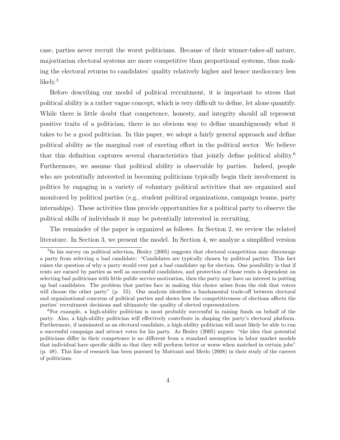case, parties never recruit the worst politicians. Because of their winner-takes-all nature, majoritarian electoral systems are more competitive than proportional systems, thus making the electoral returns to candidates' quality relatively higher and hence mediocracy less likely.<sup>5</sup>

Before describing our model of political recruitment, it is important to stress that political ability is a rather vague concept, which is very difficult to define, let alone quantify. While there is little doubt that competence, honesty, and integrity should all represent positive traits of a politician, there is no obvious way to define unambiguously what it takes to be a good politician. In this paper, we adopt a fairly general approach and define political ability as the marginal cost of exerting effort in the political sector. We believe that this definition captures several characteristics that jointly define political ability.<sup>6</sup> Furthermore, we assume that political ability is observable by parties. Indeed, people who are potentially interested in becoming politicians typically begin their involvement in politics by engaging in a variety of voluntary political activities that are organized and monitored by political parties (e.g., student political organizations, campaign teams, party internships). These activities thus provide opportunities for a political party to observe the political skills of individuals it may be potentially interested in recruiting.

The remainder of the paper is organized as follows. In Section 2, we review the related literature. In Section 3, we present the model. In Section 4, we analyze a simplified version

<sup>&</sup>lt;sup>5</sup>In his survey on political selection, Besley (2005) suggests that electoral competition may discourage a party from selecting a bad candidate: "Candidates are typically chosen by political parties. This fact raises the question of why a party would ever put a bad candidate up for election. One possibility is that if rents are earned by parties as well as successful candidates, and protection of those rents is dependent on selecting bad politicians with little public service motivation, then the party may have an interest in putting up bad candidates. The problem that parties face in making this choice arises from the risk that voters will choose the other party" (p. 55). Our analysis identifies a fundamental trade-off between electoral and organizational concerns of political parties and shows how the competitiveness of elections affects the parties' recruitment decisions and ultimately the quality of elected representatives.

<sup>6</sup>For example, a high-ability politician is most probably successful in raising funds on behalf of the party. Also, a high-ability politician will effectively contribute in shaping the party's electoral platform. Furthermore, if nominated as an electoral candidate, a high-ability politician will most likely be able to run a successful campaign and attract votes for his party. As Besley (2005) argues: "the idea that potential politicians differ in their competence is no different from a standard assumption in labor market models that individual have specific skills so that they will perform better or worse when matched in certain jobs" (p. 48). This line of research has been pursued by Mattozzi and Merlo (2008) in their study of the careers of politicians.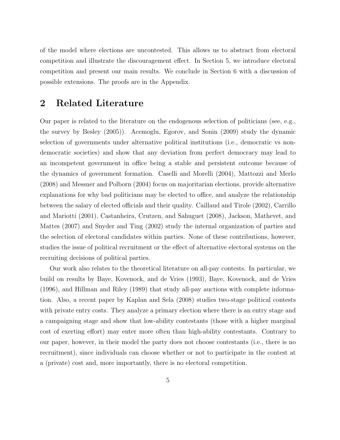of the model where elections are uncontested. This allows us to abstract from electoral competition and illustrate the discouragement effect. In Section 5, we introduce electoral competition and present our main results. We conclude in Section 6 with a discussion of possible extensions. The proofs are in the Appendix.

### 2 Related Literature

Our paper is related to the literature on the endogenous selection of politicians (see, e.g., the survey by Besley (2005)). Acemoglu, Egorov, and Sonin (2009) study the dynamic selection of governments under alternative political institutions (i.e., democratic vs nondemocratic societies) and show that any deviation from perfect democracy may lead to an incompetent government in office being a stable and persistent outcome because of the dynamics of government formation. Caselli and Morelli (2004), Mattozzi and Merlo (2008) and Messner and Polborn (2004) focus on majoritarian elections, provide alternative explanations for why bad politicians may be elected to office, and analyze the relationship between the salary of elected officials and their quality. Caillaud and Tirole (2002), Carrillo and Mariotti (2001), Castanheira, Crutzen, and Sahuguet (2008), Jackson, Mathevet, and Mattes (2007) and Snyder and Ting (2002) study the internal organization of parties and the selection of electoral candidates within parties. None of these contributions, however, studies the issue of political recruitment or the effect of alternative electoral systems on the recruiting decisions of political parties.

Our work also relates to the theoretical literature on all-pay contests. In particular, we build on results by Baye, Kovenock, and de Vries (1993), Baye, Kovenock, and de Vries (1996), and Hillman and Riley (1989) that study all-pay auctions with complete information. Also, a recent paper by Kaplan and Sela (2008) studies two-stage political contests with private entry costs. They analyze a primary election where there is an entry stage and a campaigning stage and show that low-ability contestants (those with a higher marginal cost of exerting effort) may enter more often than high-ability contestants. Contrary to our paper, however, in their model the party does not choose contestants (i.e., there is no recruitment), since individuals can choose whether or not to participate in the contest at a (private) cost and, more importantly, there is no electoral competition.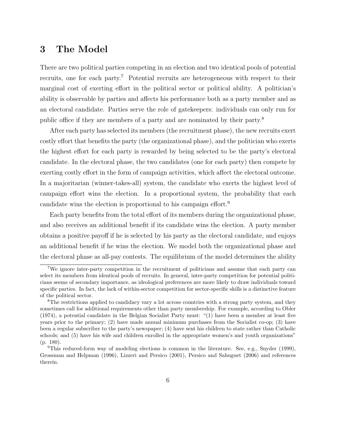### 3 The Model

There are two political parties competing in an election and two identical pools of potential recruits, one for each party.<sup>7</sup> Potential recruits are heterogeneous with respect to their marginal cost of exerting effort in the political sector or political ability. A politician's ability is observable by parties and affects his performance both as a party member and as an electoral candidate. Parties serve the role of gatekeepers: individuals can only run for public office if they are members of a party and are nominated by their party.<sup>8</sup>

After each party has selected its members (the recruitment phase), the new recruits exert costly effort that benefits the party (the organizational phase), and the politician who exerts the highest effort for each party is rewarded by being selected to be the party's electoral candidate. In the electoral phase, the two candidates (one for each party) then compete by exerting costly effort in the form of campaign activities, which affect the electoral outcome. In a majoritarian (winner-takes-all) system, the candidate who exerts the highest level of campaign effort wins the election. In a proportional system, the probability that each candidate wins the election is proportional to his campaign effort.<sup>9</sup>

Each party benefits from the total effort of its members during the organizational phase, and also receives an additional benefit if its candidate wins the election. A party member obtains a positive payoff if he is selected by his party as the electoral candidate, and enjoys an additional benefit if he wins the election. We model both the organizational phase and the electoral phase as all-pay contests. The equilibrium of the model determines the ability

<sup>7</sup>We ignore inter-party competition in the recruitment of politicians and assume that each party can select its members from identical pools of recruits. In general, inter-party competition for potential politicians seems of secondary importance, as ideological preferences are more likely to draw individuals toward specific parties. In fact, the lack of within-sector competition for sector-specific skills is a distinctive feature of the political sector.

<sup>&</sup>lt;sup>8</sup>The restrictions applied to candidacy vary a lot across countries with a strong party system, and they sometimes call for additional requirements other than party membership. For example, according to Obler (1974), a potential candidate in the Belgian Socialist Party must: "(1) have been a member at least five years prior to the primary; (2) have made annual minimum purchases from the Socialist co-op; (3) have been a regular subscriber to the party's newspaper; (4) have sent his children to state rather than Catholic schools; and (5) have his wife and children enrolled in the appropriate women's and youth organizations" (p. 180).

<sup>&</sup>lt;sup>9</sup>This reduced-form way of modeling elections is common in the literature. See, e.g., Snyder (1999), Grossman and Helpman (1996), Lizzeri and Persico (2001), Persico and Sahuguet (2006) and references therein.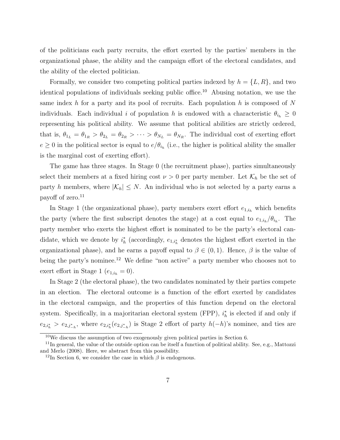of the politicians each party recruits, the effort exerted by the parties' members in the organizational phase, the ability and the campaign effort of the electoral candidates, and the ability of the elected politician.

Formally, we consider two competing political parties indexed by  $h = \{L, R\}$ , and two identical populations of individuals seeking public office.<sup>10</sup> Abusing notation, we use the same index h for a party and its pool of recruits. Each population h is composed of  $N$ individuals. Each individual i of population h is endowed with a characteristic  $\theta_{i_h} \geq 0$ representing his political ability. We assume that political abilities are strictly ordered, that is,  $\theta_{1_L} = \theta_{1_R} > \theta_{2_L} = \theta_{2_R} > \cdots > \theta_{N_L} = \theta_{N_R}$ . The individual cost of exerting effort  $e \geq 0$  in the political sector is equal to  $e/\theta_{i_h}$  (i.e., the higher is political ability the smaller is the marginal cost of exerting effort).

The game has three stages. In Stage 0 (the recruitment phase), parties simultaneously select their members at a fixed hiring cost  $\nu > 0$  per party member. Let  $\mathcal{K}_h$  be the set of party h members, where  $|\mathcal{K}_h| \leq N$ . An individual who is not selected by a party earns a payoff of zero. $11$ 

In Stage 1 (the organizational phase), party members exert effort  $e_{1,i_h}$  which benefits the party (where the first subscript denotes the stage) at a cost equal to  $e_{1,i_h}/\theta_{i_h}$ . The party member who exerts the highest effort is nominated to be the party's electoral candidate, which we denote by  $i_h^*$  (accordingly,  $e_{1,i_h^*}$  denotes the highest effort exerted in the organizational phase), and he earns a payoff equal to  $\beta \in (0,1)$ . Hence,  $\beta$  is the value of being the party's nominee.<sup>12</sup> We define "non active" a party member who chooses not to exert effort in Stage 1 ( $e_{1,i_h} = 0$ ).

In Stage 2 (the electoral phase), the two candidates nominated by their parties compete in an election. The electoral outcome is a function of the effort exerted by candidates in the electoral campaign, and the properties of this function depend on the electoral system. Specifically, in a majoritarian electoral system (FPP),  $i_h^*$  is elected if and only if  $e_{2,i_h^*} > e_{2,j_{-h}^*}$ , where  $e_{2,i_h^*}(e_{2,j_{-h}^*})$  is Stage 2 effort of party  $h(-h)$ 's nominee, and ties are

<sup>10</sup>We discuss the assumption of two exogenously given political parties in Section 6.

 $11$ In general, the value of the outside option can be itself a function of political ability. See, e.g., Mattozzi and Merlo (2008). Here, we abstract from this possibility.

<sup>&</sup>lt;sup>12</sup>In Section 6, we consider the case in which  $\beta$  is endogenous.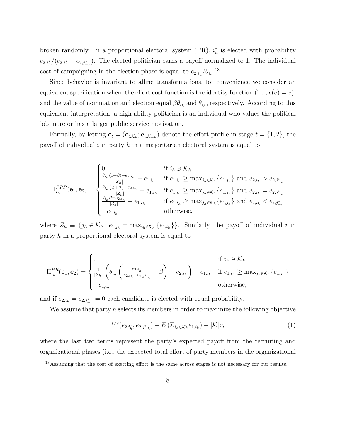broken randomly. In a proportional electoral system (PR),  $i_h^*$  is elected with probability  $e_{2,i_h^*}/(e_{2,i_h^*}+e_{2,j_{-h}^*})$ . The elected politician earns a payoff normalized to 1. The individual cost of campaigning in the election phase is equal to  $e_{2,i_h^*}/\theta_{i_h}$ <sup>13</sup>

Since behavior is invariant to affine transformations, for convenience we consider an equivalent specification where the effort cost function is the identity function (i.e.,  $c(e) = e$ ), and the value of nomination and election equal  $\beta \theta_{i_h}$  and  $\theta_{i_h}$ , respectively. According to this equivalent interpretation, a high-ability politician is an individual who values the political job more or has a larger public service motivation.

Formally, by letting  $\mathbf{e}_t = (\mathbf{e}_{t,\mathcal{K}_h}; \mathbf{e}_{t,\mathcal{K}_{-h}})$  denote the effort profile in stage  $t = \{1, 2\}$ , the payoff of individual i in party h in a majoritarian electoral system is equal to

$$
\Pi_{i_h}^{FPP}(\mathbf{e}_1, \mathbf{e}_2) = \begin{cases}\n0 & \text{if } i_h \ni \mathcal{K}_h \\
\frac{\theta_{i_h}(1+\beta)-e_{2,i_h}}{|Z_h|} - e_{1,i_h} & \text{if } e_{1,i_h} \ge \max_{j_h \in \mathcal{K}_h} \{e_{1,j_h}\} \text{ and } e_{2,i_h} > e_{2,j^*_{-h}} \\
\frac{\theta_{i_h}(\frac{1}{2}+\beta)-e_{2,i_h}}{|Z_h|} - e_{1,i_h} & \text{if } e_{1,i_h} \ge \max_{j_h \in \mathcal{K}_h} \{e_{1,j_h}\} \text{ and } e_{2,i_h} = e_{2,j^*_{-h}} \\
\frac{\theta_{i_h}\beta - e_{2,i_h}}{|Z_h|} - e_{1,i_h} & \text{if } e_{1,i_h} \ge \max_{j_h \in \mathcal{K}_h} \{e_{1,j_h}\} \text{ and } e_{2,i_h} < e_{2,j^*_{-h}} \\
-e_{1,i_h} & \text{otherwise,} \n\end{cases}
$$

where  $Z_h \equiv \{j_h \in \mathcal{K}_h : e_{1,j_h} = \max_{i_h \in \mathcal{K}_h} \{e_{1,i_h}\}\}\.$  Similarly, the payoff of individual i in party h in a proportional electoral system is equal to

$$
\Pi_{i_h}^{PR}(\mathbf{e}_1, \mathbf{e}_2) = \begin{cases} 0 & \text{if } i_h \ni \mathcal{K}_h \\ \frac{1}{|Z_h|} \left( \theta_{i_h} \left( \frac{e_{2,i_h}}{e_{2,i_h} + e_{2,j_{-h}^*}} + \beta \right) - e_{2,i_h} \right) - e_{1,i_h} & \text{if } e_{1,i_h} \ge \max_{j_h \in \mathcal{K}_h} \{e_{1,j_h}\} \\ -e_{1,i_h} & \text{otherwise,} \end{cases}
$$

and if  $e_{2,i_h} = e_{2,j_{-h}^*} = 0$  each candidate is elected with equal probability.

We assume that party  $h$  selects its members in order to maximize the following objective

$$
V^{s}(e_{2,i_{h}^{*}},e_{2,j_{-h}^{*}})+E\left(\sum_{i_{h}\in\mathcal{K}_{h}}e_{1,i_{h}}\right)-|\mathcal{K}|\nu,
$$
\n(1)

where the last two terms represent the party's expected payoff from the recruiting and organizational phases (i.e., the expected total effort of party members in the organizational

<sup>&</sup>lt;sup>13</sup>Assuming that the cost of exerting effort is the same across stages is not necessary for our results.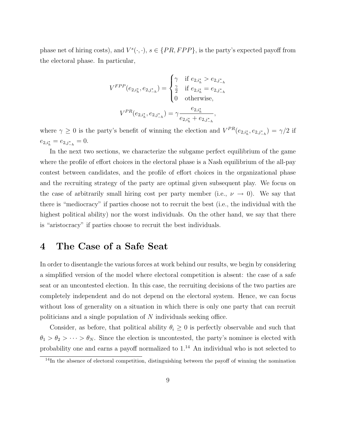phase net of hiring costs), and  $V^s(\cdot, \cdot)$ ,  $s \in \{PR, FPP\}$ , is the party's expected payoff from the electoral phase. In particular,

$$
V^{FPP}(e_{2,i_h^*}, e_{2,j_{-h}^*}) = \begin{cases} \gamma & \text{if } e_{2,i_h^*} > e_{2,j_{-h}^*} \\ \frac{\gamma}{2} & \text{if } e_{2,i_h^*} = e_{2,j_{-h}^*} \\ 0 & \text{otherwise,} \end{cases}
$$

$$
V^{PR}(e_{2,i_h^*}, e_{2,j_{-h}^*}) = \gamma \frac{e_{2,i_h^*}}{e_{2,i_h^*} + e_{2,j_{-h}^*}},
$$

where  $\gamma \geq 0$  is the party's benefit of winning the election and  $V^{PR}(e_{2,i_h^*}, e_{2,j_{-h}^*}) = \gamma/2$  if  $e_{2,i_h^*} = e_{2,j_{-h}^*} = 0.$ 

In the next two sections, we characterize the subgame perfect equilibrium of the game where the profile of effort choices in the electoral phase is a Nash equilibrium of the all-pay contest between candidates, and the profile of effort choices in the organizational phase and the recruiting strategy of the party are optimal given subsequent play. We focus on the case of arbitrarily small hiring cost per party member (i.e.,  $\nu \rightarrow 0$ ). We say that there is "mediocracy" if parties choose not to recruit the best (i.e., the individual with the highest political ability) nor the worst individuals. On the other hand, we say that there is "aristocracy" if parties choose to recruit the best individuals.

### 4 The Case of a Safe Seat

In order to disentangle the various forces at work behind our results, we begin by considering a simplified version of the model where electoral competition is absent: the case of a safe seat or an uncontested election. In this case, the recruiting decisions of the two parties are completely independent and do not depend on the electoral system. Hence, we can focus without loss of generality on a situation in which there is only one party that can recruit politicians and a single population of N individuals seeking office.

Consider, as before, that political ability  $\theta_i \geq 0$  is perfectly observable and such that  $\theta_1 > \theta_2 > \cdots > \theta_N$ . Since the election is uncontested, the party's nominee is elected with probability one and earns a payoff normalized to  $1.^{14}$  An individual who is not selected to

<sup>&</sup>lt;sup>14</sup>In the absence of electoral competition, distinguishing between the payoff of winning the nomination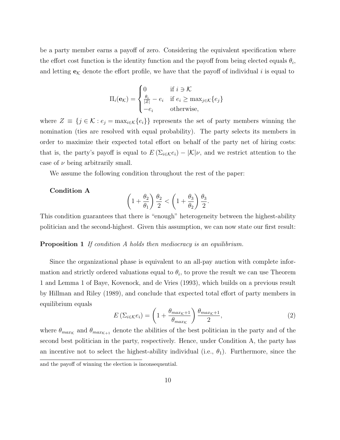be a party member earns a payoff of zero. Considering the equivalent specification where the effort cost function is the identity function and the payoff from being elected equals  $\theta_i$ , and letting  $e_k$  denote the effort profile, we have that the payoff of individual i is equal to

$$
\Pi_i(\mathbf{e}_{\mathcal{K}}) = \begin{cases}\n0 & \text{if } i \ni \mathcal{K} \\
\frac{\theta_i}{|Z|} - e_i & \text{if } e_i \ge \max_{j \in \mathcal{K}} \{e_j\} \\
-e_i & \text{otherwise,} \n\end{cases}
$$

where  $Z \equiv \{j \in \mathcal{K} : e_j = \max_{i \in \mathcal{K}} \{e_i\}\}\$  represents the set of party members winning the nomination (ties are resolved with equal probability). The party selects its members in order to maximize their expected total effort on behalf of the party net of hiring costs: that is, the party's payoff is equal to  $E(\Sigma_{i\in\mathcal{K}}e_i) - |\mathcal{K}| \nu$ , and we restrict attention to the case of  $\nu$  being arbitrarily small.

We assume the following condition throughout the rest of the paper:

#### Condition A

$$
\left(1+\frac{\theta_2}{\theta_1}\right)\frac{\theta_2}{2} < \left(1+\frac{\theta_3}{\theta_2}\right)\frac{\theta_3}{2}
$$

This condition guarantees that there is "enough" heterogeneity between the highest-ability politician and the second-highest. Given this assumption, we can now state our first result:

**Proposition 1** If condition A holds then mediocracy is an equilibrium.

Since the organizational phase is equivalent to an all-pay auction with complete information and strictly ordered valuations equal to  $\theta_i$ , to prove the result we can use Theorem 1 and Lemma 1 of Baye, Kovenock, and de Vries (1993), which builds on a previous result by Hillman and Riley (1989), and conclude that expected total effort of party members in equilibrium equals

$$
E\left(\Sigma_{i\in\mathcal{K}}e_i\right) = \left(1 + \frac{\theta_{max_K+1}}{\theta_{max_K}}\right)\frac{\theta_{max_K+1}}{2},\tag{2}
$$

.

where  $\theta_{max_K}$  and  $\theta_{max_{K+1}}$  denote the abilities of the best politician in the party and of the second best politician in the party, respectively. Hence, under Condition A, the party has an incentive not to select the highest-ability individual (i.e.,  $\theta_1$ ). Furthermore, since the and the payoff of winning the election is inconsequential.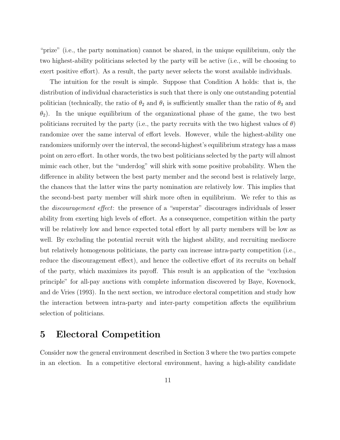"prize" (i.e., the party nomination) cannot be shared, in the unique equilibrium, only the two highest-ability politicians selected by the party will be active (i.e., will be choosing to exert positive effort). As a result, the party never selects the worst available individuals.

The intuition for the result is simple. Suppose that Condition A holds: that is, the distribution of individual characteristics is such that there is only one outstanding potential politician (technically, the ratio of  $\theta_2$  and  $\theta_1$  is sufficiently smaller than the ratio of  $\theta_3$  and  $\theta_2$ ). In the unique equilibrium of the organizational phase of the game, the two best politicians recruited by the party (i.e., the party recruits with the two highest values of  $\theta$ ) randomize over the same interval of effort levels. However, while the highest-ability one randomizes uniformly over the interval, the second-highest's equilibrium strategy has a mass point on zero effort. In other words, the two best politicians selected by the party will almost mimic each other, but the "underdog" will shirk with some positive probability. When the difference in ability between the best party member and the second best is relatively large, the chances that the latter wins the party nomination are relatively low. This implies that the second-best party member will shirk more often in equilibrium. We refer to this as the discouragement effect: the presence of a "superstar" discourages individuals of lesser ability from exerting high levels of effort. As a consequence, competition within the party will be relatively low and hence expected total effort by all party members will be low as well. By excluding the potential recruit with the highest ability, and recruiting mediocre but relatively homogenous politicians, the party can increase intra-party competition (i.e., reduce the discouragement effect), and hence the collective effort of its recruits on behalf of the party, which maximizes its payoff. This result is an application of the "exclusion principle" for all-pay auctions with complete information discovered by Baye, Kovenock, and de Vries (1993). In the next section, we introduce electoral competition and study how the interaction between intra-party and inter-party competition affects the equilibrium selection of politicians.

### 5 Electoral Competition

Consider now the general environment described in Section 3 where the two parties compete in an election. In a competitive electoral environment, having a high-ability candidate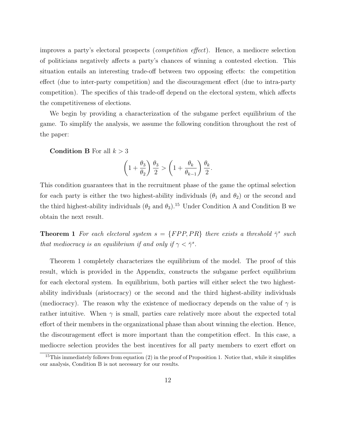improves a party's electoral prospects (competition effect). Hence, a mediocre selection of politicians negatively affects a party's chances of winning a contested election. This situation entails an interesting trade-off between two opposing effects: the competition effect (due to inter-party competition) and the discouragement effect (due to intra-party competition). The specifics of this trade-off depend on the electoral system, which affects the competitiveness of elections.

We begin by providing a characterization of the subgame perfect equilibrium of the game. To simplify the analysis, we assume the following condition throughout the rest of the paper:

**Condition B** For all  $k > 3$ 

$$
\left(1+\frac{\theta_3}{\theta_2}\right)\frac{\theta_3}{2} > \left(1+\frac{\theta_k}{\theta_{k-1}}\right)\frac{\theta_k}{2}.
$$

This condition guarantees that in the recruitment phase of the game the optimal selection for each party is either the two highest-ability individuals  $(\theta_1$  and  $\theta_2)$  or the second and the third highest-ability individuals  $(\theta_2 \text{ and } \theta_3)$ .<sup>15</sup> Under Condition A and Condition B we obtain the next result.

**Theorem 1** For each electoral system  $s = \{FPP, PR\}$  there exists a threshold  $\bar{\gamma}^s$  such that mediocracy is an equilibrium if and only if  $\gamma < \bar{\gamma}^s$ .

Theorem 1 completely characterizes the equilibrium of the model. The proof of this result, which is provided in the Appendix, constructs the subgame perfect equilibrium for each electoral system. In equilibrium, both parties will either select the two highestability individuals (aristocracy) or the second and the third highest-ability individuals (mediocracy). The reason why the existence of mediocracy depends on the value of  $\gamma$  is rather intuitive. When  $\gamma$  is small, parties care relatively more about the expected total effort of their members in the organizational phase than about winning the election. Hence, the discouragement effect is more important than the competition effect. In this case, a mediocre selection provides the best incentives for all party members to exert effort on

<sup>&</sup>lt;sup>15</sup>This immediately follows from equation  $(2)$  in the proof of Proposition 1. Notice that, while it simplifies our analysis, Condition B is not necessary for our results.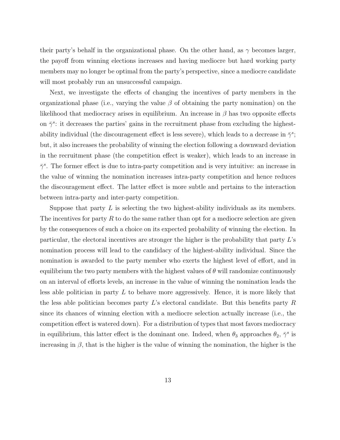their party's behalf in the organizational phase. On the other hand, as  $\gamma$  becomes larger, the payoff from winning elections increases and having mediocre but hard working party members may no longer be optimal from the party's perspective, since a mediocre candidate will most probably run an unsuccessful campaign.

Next, we investigate the effects of changing the incentives of party members in the organizational phase (i.e., varying the value  $\beta$  of obtaining the party nomination) on the likelihood that mediocracy arises in equilibrium. An increase in  $\beta$  has two opposite effects on  $\bar{\gamma}^s$ : it decreases the parties' gains in the recruitment phase from excluding the highestability individual (the discouragement effect is less severe), which leads to a decrease in  $\bar{\gamma}^s$ ; but, it also increases the probability of winning the election following a downward deviation in the recruitment phase (the competition effect is weaker), which leads to an increase in  $\bar{\gamma}^s$ . The former effect is due to intra-party competition and is very intuitive: an increase in the value of winning the nomination increases intra-party competition and hence reduces the discouragement effect. The latter effect is more subtle and pertains to the interaction between intra-party and inter-party competition.

Suppose that party  $L$  is selecting the two highest-ability individuals as its members. The incentives for party  $R$  to do the same rather than opt for a mediocre selection are given by the consequences of such a choice on its expected probability of winning the election. In particular, the electoral incentives are stronger the higher is the probability that party L's nomination process will lead to the candidacy of the highest-ability individual. Since the nomination is awarded to the party member who exerts the highest level of effort, and in equilibrium the two party members with the highest values of  $\theta$  will randomize continuously on an interval of efforts levels, an increase in the value of winning the nomination leads the less able politician in party L to behave more aggressively. Hence, it is more likely that the less able politician becomes party  $L$ 's electoral candidate. But this benefits party  $R$ since its chances of winning election with a mediocre selection actually increase (i.e., the competition effect is watered down). For a distribution of types that most favors mediocracy in equilibrium, this latter effect is the dominant one. Indeed, when  $\theta_3$  approaches  $\theta_2$ ,  $\bar{\gamma}^s$  is increasing in  $\beta$ , that is the higher is the value of winning the nomination, the higher is the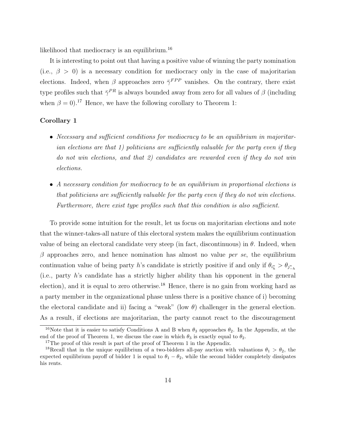likelihood that mediocracy is an equilibrium.<sup>16</sup>

It is interesting to point out that having a positive value of winning the party nomination (i.e.,  $\beta > 0$ ) is a necessary condition for mediocracy only in the case of majoritarian elections. Indeed, when  $\beta$  approaches zero  $\bar{\gamma}^{FPP}$  vanishes. On the contrary, there exist type profiles such that  $\bar{\gamma}^{PR}$  is always bounded away from zero for all values of  $\beta$  (including when  $\beta = 0$ <sup>17</sup>. Hence, we have the following corollary to Theorem 1:

#### Corollary 1

- Necessary and sufficient conditions for mediocracy to be an equilibrium in majoritarian elections are that 1) politicians are sufficiently valuable for the party even if they do not win elections, and that 2) candidates are rewarded even if they do not win elections.
- A necessary condition for mediocracy to be an equilibrium in proportional elections is that politicians are sufficiently valuable for the party even if they do not win elections. Furthermore, there exist type profiles such that this condition is also sufficient.

To provide some intuition for the result, let us focus on majoritarian elections and note that the winner-takes-all nature of this electoral system makes the equilibrium continuation value of being an electoral candidate very steep (in fact, discontinuous) in  $\theta$ . Indeed, when  $\beta$  approaches zero, and hence nomination has almost no value per se, the equilibrium continuation value of being party h's candidate is strictly positive if and only if  $\theta_{i_h^*} > \theta_{j_{-h}^*}$ (i.e., party h's candidate has a strictly higher ability than his opponent in the general election), and it is equal to zero otherwise.<sup>18</sup> Hence, there is no gain from working hard as a party member in the organizational phase unless there is a positive chance of i) becoming the electoral candidate and ii) facing a "weak" (low  $\theta$ ) challenger in the general election. As a result, if elections are majoritarian, the party cannot react to the discouragement

<sup>&</sup>lt;sup>16</sup>Note that it is easier to satisfy Conditions A and B when  $\theta_3$  approaches  $\theta_2$ . In the Appendix, at the end of the proof of Theorem 1, we discuss the case in which  $\theta_3$  is exactly equal to  $\theta_2$ .

<sup>&</sup>lt;sup>17</sup>The proof of this result is part of the proof of Theorem 1 in the Appendix.

<sup>&</sup>lt;sup>18</sup>Recall that in the unique equilibrium of a two-bidders all-pay auction with valuations  $\theta_1 > \theta_2$ , the expected equilibrium payoff of bidder 1 is equal to  $\theta_1 - \theta_2$ , while the second bidder completely dissipates his rents.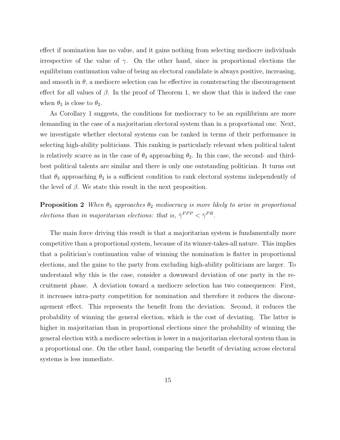effect if nomination has no value, and it gains nothing from selecting mediocre individuals irrespective of the value of  $\gamma$ . On the other hand, since in proportional elections the equilibrium continuation value of being an electoral candidate is always positive, increasing, and smooth in  $\theta$ , a mediocre selection can be effective in counteracting the discouragement effect for all values of  $\beta$ . In the proof of Theorem 1, we show that this is indeed the case when  $\theta_3$  is close to  $\theta_2$ .

As Corollary 1 suggests, the conditions for mediocracy to be an equilibrium are more demanding in the case of a majoritarian electoral system than in a proportional one. Next, we investigate whether electoral systems can be ranked in terms of their performance in selecting high-ability politicians. This ranking is particularly relevant when political talent is relatively scarce as in the case of  $\theta_3$  approaching  $\theta_2$ . In this case, the second- and thirdbest political talents are similar and there is only one outstanding politician. It turns out that  $\theta_3$  approaching  $\theta_2$  is a sufficient condition to rank electoral systems independently of the level of  $\beta$ . We state this result in the next proposition.

**Proposition 2** When  $\theta_3$  approaches  $\theta_2$  mediocracy is more likely to arise in proportional elections than in majoritarian elections: that is,  $\bar{\gamma}^{FPP} < \bar{\gamma}^{PR}$ .

The main force driving this result is that a majoritarian system is fundamentally more competitive than a proportional system, because of its winner-takes-all nature. This implies that a politician's continuation value of winning the nomination is flatter in proportional elections, and the gains to the party from excluding high-ability politicians are larger. To understand why this is the case, consider a downward deviation of one party in the recruitment phase. A deviation toward a mediocre selection has two consequences: First, it increases intra-party competition for nomination and therefore it reduces the discouragement effect. This represents the benefit from the deviation. Second, it reduces the probability of winning the general election, which is the cost of deviating. The latter is higher in majoritarian than in proportional elections since the probability of winning the general election with a mediocre selection is lower in a majoritarian electoral system than in a proportional one. On the other hand, comparing the benefit of deviating across electoral systems is less immediate.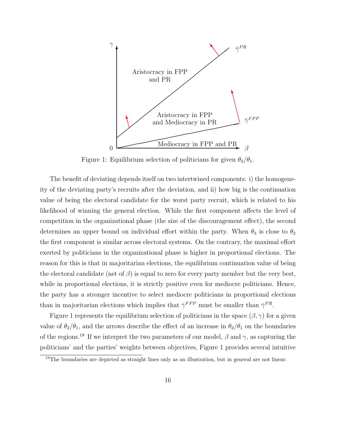

Figure 1: Equilibrium selection of politicians for given  $\theta_2/\theta_1$ .

The benefit of deviating depends itself on two intertwined components: i) the homogeneity of the deviating party's recruits after the deviation, and ii) how big is the continuation value of being the electoral candidate for the worst party recruit, which is related to his likelihood of winning the general election. While the first component affects the level of competition in the organizational phase (the size of the discouragement effect), the second determines an upper bound on individual effort within the party. When  $\theta_3$  is close to  $\theta_2$ the first component is similar across electoral systems. On the contrary, the maximal effort exerted by politicians in the organizational phase is higher in proportional elections. The reason for this is that in majoritarian elections, the equilibrium continuation value of being the electoral candidate (net of  $\beta$ ) is equal to zero for every party member but the very best, while in proportional elections, it is strictly positive even for mediocre politicians. Hence, the party has a stronger incentive to select mediocre politicians in proportional elections than in majoritarian elections which implies that  $\bar{\gamma}^{FPP}$  must be smaller than  $\bar{\gamma}^{PR}$ .

Figure 1 represents the equilibrium selection of politicians in the space  $(\beta, \gamma)$  for a given value of  $\theta_2/\theta_1$ , and the arrows describe the effect of an increase in  $\theta_2/\theta_1$  on the boundaries of the regions.<sup>19</sup> If we interpret the two parameters of our model,  $\beta$  and  $\gamma$ , as capturing the politicians' and the parties' weights between objectives, Figure 1 provides several intuitive

<sup>&</sup>lt;sup>19</sup>The boundaries are depicted as straight lines only as an illustration, but in general are not linear.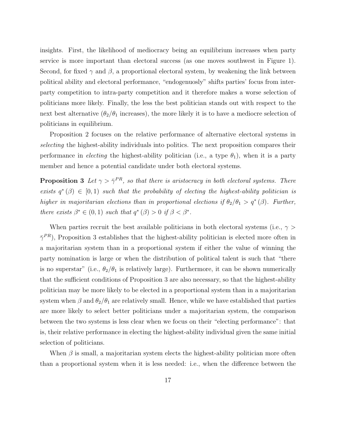insights. First, the likelihood of mediocracy being an equilibrium increases when party service is more important than electoral success (as one moves southwest in Figure 1). Second, for fixed  $\gamma$  and  $\beta$ , a proportional electoral system, by weakening the link between political ability and electoral performance, "endogenuosly" shifts parties' focus from interparty competition to intra-party competition and it therefore makes a worse selection of politicians more likely. Finally, the less the best politician stands out with respect to the next best alternative  $(\theta_2/\theta_1)$  increases), the more likely it is to have a mediocre selection of politicians in equilibrium.

Proposition 2 focuses on the relative performance of alternative electoral systems in selecting the highest-ability individuals into politics. The next proposition compares their performance in *electing* the highest-ability politician (i.e., a type  $\theta_1$ ), when it is a party member and hence a potential candidate under both electoral systems.

**Proposition 3** Let  $\gamma > \bar{\gamma}^{PR}$ , so that there is aristocracy in both electoral systems. There exists  $q^*(\beta) \in [0,1)$  such that the probability of electing the highest-ability politician is higher in majoritarian elections than in proportional elections if  $\theta_2/\theta_1 > q^*(\beta)$ . Further, there exists  $\beta^* \in (0,1)$  such that  $q^*(\beta) > 0$  if  $\beta < \beta^*$ .

When parties recruit the best available politicians in both electoral systems (i.e.,  $\gamma$ )  $\bar{\gamma}^{PR}$ ), Proposition 3 establishes that the highest-ability politician is elected more often in a majoritarian system than in a proportional system if either the value of winning the party nomination is large or when the distribution of political talent is such that "there is no superstar" (i.e.,  $\theta_2/\theta_1$  is relatively large). Furthermore, it can be shown numerically that the sufficient conditions of Proposition 3 are also necessary, so that the highest-ability politician may be more likely to be elected in a proportional system than in a majoritarian system when  $\beta$  and  $\theta_2/\theta_1$  are relatively small. Hence, while we have established that parties are more likely to select better politicians under a majoritarian system, the comparison between the two systems is less clear when we focus on their "electing performance": that is, their relative performance in electing the highest-ability individual given the same initial selection of politicians.

When  $\beta$  is small, a majoritarian system elects the highest-ability politician more often than a proportional system when it is less needed: i.e., when the difference between the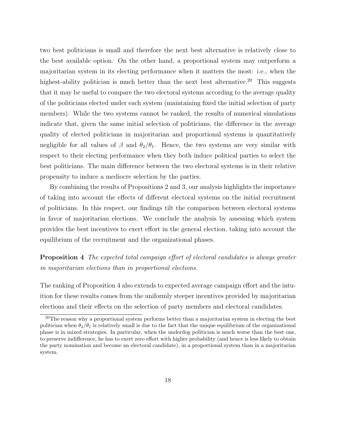two best politicians is small and therefore the next best alternative is relatively close to the best available option. On the other hand, a proportional system may outperform a majoritarian system in its electing performance when it matters the most: i.e., when the highest-ability politician is much better than the next best alternative.<sup>20</sup> This suggests that it may be useful to compare the two electoral systems according to the average quality of the politicians elected under each system (maintaining fixed the initial selection of party members). While the two systems cannot be ranked, the results of numerical simulations indicate that, given the same initial selection of politicians, the difference in the average quality of elected politicians in majoritarian and proportional systems is quantitatively negligible for all values of  $\beta$  and  $\theta_2/\theta_1$ . Hence, the two systems are very similar with respect to their electing performance when they both induce political parties to select the best politicians. The main difference between the two electoral systems is in their relative propensity to induce a mediocre selection by the parties.

By combining the results of Propositions 2 and 3, our analysis highlights the importance of taking into account the effects of different electoral systems on the initial recruitment of politicians. In this respect, our findings tilt the comparison between electoral systems in favor of majoritarian elections. We conclude the analysis by assessing which system provides the best incentives to exert effort in the general election, taking into account the equilibrium of the recruitment and the organizational phases.

Proposition 4 The expected total campaign effort of electoral candidates is always greater in majoritarian elections than in proportional elections.

The ranking of Proposition 4 also extends to expected average campaign effort and the intuition for these results comes from the uniformly steeper incentives provided by majoritarian elections and their effects on the selection of party members and electoral candidates.

<sup>&</sup>lt;sup>20</sup>The reason why a proportional system performs better than a majoritarian system in electing the best politician when  $\theta_2/\theta_1$  is relatively small is due to the fact that the unique equilibrium of the organizational phase is in mixed strategies. In particular, when the underdog politician is much worse than the best one, to preserve indifference, he has to exert zero effort with higher probability (and hence is less likely to obtain the party nomination and become an electoral candidate), in a proportional system than in a majoritarian system.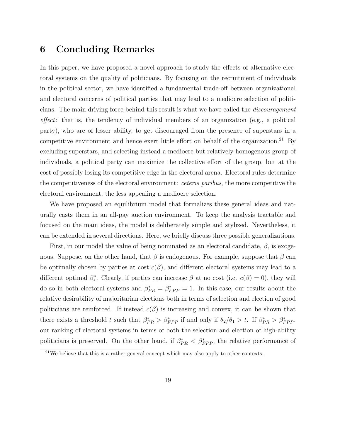### 6 Concluding Remarks

In this paper, we have proposed a novel approach to study the effects of alternative electoral systems on the quality of politicians. By focusing on the recruitment of individuals in the political sector, we have identified a fundamental trade-off between organizational and electoral concerns of political parties that may lead to a mediocre selection of politicians. The main driving force behind this result is what we have called the discouragement effect: that is, the tendency of individual members of an organization (e.g., a political party), who are of lesser ability, to get discouraged from the presence of superstars in a competitive environment and hence exert little effort on behalf of the organization.<sup>21</sup> By excluding superstars, and selecting instead a mediocre but relatively homogenous group of individuals, a political party can maximize the collective effort of the group, but at the cost of possibly losing its competitive edge in the electoral arena. Electoral rules determine the competitiveness of the electoral environment: ceteris paribus, the more competitive the electoral environment, the less appealing a mediocre selection.

We have proposed an equilibrium model that formalizes these general ideas and naturally casts them in an all-pay auction environment. To keep the analysis tractable and focused on the main ideas, the model is deliberately simple and stylized. Nevertheless, it can be extended in several directions. Here, we briefly discuss three possible generalizations.

First, in our model the value of being nominated as an electoral candidate,  $\beta$ , is exogenous. Suppose, on the other hand, that  $\beta$  is endogenous. For example, suppose that  $\beta$  can be optimally chosen by parties at cost  $c(\beta)$ , and different electoral systems may lead to a different optimal  $\beta_s^*$ . Clearly, if parties can increase  $\beta$  at no cost (i.e.  $c(\beta) = 0$ ), they will do so in both electoral systems and  $\beta_{PR}^* = \beta_{FPP}^* = 1$ . In this case, our results about the relative desirability of majoritarian elections both in terms of selection and election of good politicians are reinforced. If instead  $c(\beta)$  is increasing and convex, it can be shown that there exists a threshold t such that  $\beta_{PR}^* > \beta_{FPP}^*$  if and only if  $\theta_2/\theta_1 > t$ . If  $\beta_{PR}^* > \beta_{FPP}^*$ , our ranking of electoral systems in terms of both the selection and election of high-ability politicians is preserved. On the other hand, if  $\beta_{PR}^* < \beta_{FPP}^*$ , the relative performance of

 $21$ We believe that this is a rather general concept which may also apply to other contexts.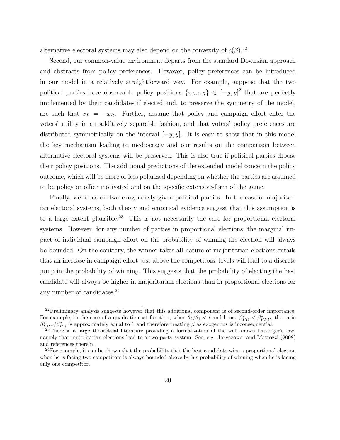alternative electoral systems may also depend on the convexity of  $c(\beta)$ .<sup>22</sup>

Second, our common-value environment departs from the standard Downsian approach and abstracts from policy preferences. However, policy preferences can be introduced in our model in a relatively straightforward way. For example, suppose that the two political parties have observable policy positions  $\{x_L, x_R\} \in [-y, y]^2$  that are perfectly implemented by their candidates if elected and, to preserve the symmetry of the model, are such that  $x_L = -x_R$ . Further, assume that policy and campaign effort enter the voters' utility in an additively separable fashion, and that voters' policy preferences are distributed symmetrically on the interval  $[-y, y]$ . It is easy to show that in this model the key mechanism leading to mediocracy and our results on the comparison between alternative electoral systems will be preserved. This is also true if political parties choose their policy positions. The additional predictions of the extended model concern the policy outcome, which will be more or less polarized depending on whether the parties are assumed to be policy or office motivated and on the specific extensive-form of the game.

Finally, we focus on two exogenously given political parties. In the case of majoritarian electoral systems, both theory and empirical evidence suggest that this assumption is to a large extent plausible.<sup>23</sup> This is not necessarily the case for proportional electoral systems. However, for any number of parties in proportional elections, the marginal impact of individual campaign effort on the probability of winning the election will always be bounded. On the contrary, the winner-takes-all nature of majoritarian elections entails that an increase in campaign effort just above the competitors' levels will lead to a discrete jump in the probability of winning. This suggests that the probability of electing the best candidate will always be higher in majoritarian elections than in proportional elections for any number of candidates.<sup>24</sup>

<sup>&</sup>lt;sup>22</sup>Preliminary analysis suggests however that this additional component is of second-order importance. For example, in the case of a quadratic cost function, when  $\theta_2/\theta_1 < t$  and hence  $\beta_{PR}^* < \beta_{FPP}^*$ , the ratio  $\beta_{FPP}^*/\beta_{PR}^*$  is approximately equal to 1 and therefore treating  $\beta$  as exogenous is inconsequential.

 $^{23}$ There is a large theoretical literature providing a formalization of the well-known Duverger's law, namely that majoritarian elections lead to a two-party system. See, e.g., Iaryczower and Mattozzi (2008) and references therein.

 $24$ For example, it can be shown that the probability that the best candidate wins a proportional election when he is facing two competitors is always bounded above by his probability of winning when he is facing only one competitor.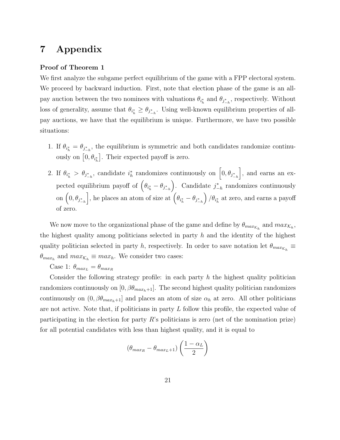### 7 Appendix

#### Proof of Theorem 1

We first analyze the subgame perfect equilibrium of the game with a FPP electoral system. We proceed by backward induction. First, note that election phase of the game is an allpay auction between the two nominees with valuations  $\theta_{i_h^*}$  and  $\theta_{j_{-h}^*}$ , respectively. Without loss of generality, assume that  $\theta_{i_h^*} \geq \theta_{j_{-h}^*}$ . Using well-known equilibrium properties of allpay auctions, we have that the equilibrium is unique. Furthermore, we have two possible situations:

- 1. If  $\theta_{i_h^*} = \theta_{j_{-h}^*}$ , the equilibrium is symmetric and both candidates randomize continuously on  $[0, \theta_{i_n^*}]$ . Their expected payoff is zero.
- 2. If  $\theta_{i_h^*} > \theta_{j_{-h}^*}$ , candidate  $i_h^*$  randomizes continuously on  $\left[0, \theta_{j_{-h}^*}\right]$ , and earns an expected equilibrium payoff of  $(\theta_{i_h^*} - \theta_{j_{-h}^*})$ ). Candidate  $j_{-h}^*$  randomizes continuously on  $(0, \theta_{j^*_{-h}}$ , he places an atom of size at  $(\theta_{i_h^*} - \theta_{j_{-h}^*})$  $\int_{\mathcal{H}_{h}^{*}}$  at zero, and earns a payoff of zero.

We now move to the organizational phase of the game and define by  $\theta_{max_{\mathcal{K}_h}}$  and  $max_{\mathcal{K}_h}$ , the highest quality among politicians selected in party  $h$  and the identity of the highest quality politician selected in party h, respectively. In order to save notation let  $\theta_{max_{\mathcal{K}_h}} \equiv$  $\theta_{max_h}$  and  $max_{\mathcal{K}_h} \equiv max_h$ . We consider two cases:

Case 1:  $\theta_{max_L} = \theta_{max_R}$ 

Consider the following strategy profile: in each party  $h$  the highest quality politician randomizes continuously on  $[0, \beta\theta_{max_h+1}]$ . The second highest quality politician randomizes continuously on  $(0, \beta\theta_{max_h+1}]$  and places an atom of size  $\alpha_h$  at zero. All other politicians are not active. Note that, if politicians in party L follow this profile, the expected value of participating in the election for party  $R$ 's politicians is zero (net of the nomination prize) for all potential candidates with less than highest quality, and it is equal to

$$
(\theta_{max_R} - \theta_{max_L+1})\left(\frac{1-\alpha_L}{2}\right)
$$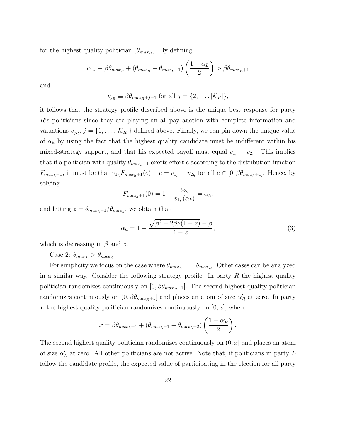for the highest quality politician  $(\theta_{max_R})$ . By defining

$$
v_{1_R} \equiv \beta \theta_{max_R} + (\theta_{max_R} - \theta_{max_L+1}) \left(\frac{1 - \alpha_L}{2}\right) > \beta \theta_{max_R+1}
$$

and

$$
v_{j_R} \equiv \beta \theta_{max_R + j - 1} \text{ for all } j = \{2, ..., |\mathcal{K}_R|\},
$$

it follows that the strategy profile described above is the unique best response for party R's politicians since they are playing an all-pay auction with complete information and valuations  $v_{j_R}$ ,  $j = \{1, ..., |\mathcal{K}_R|\}$  defined above. Finally, we can pin down the unique value of  $\alpha_h$  by using the fact that the highest quality candidate must be indifferent within his mixed-strategy support, and that his expected payoff must equal  $v_{1_h} - v_{2_h}$ . This implies that if a politician with quality  $\theta_{max_h+1}$  exerts effort e according to the distribution function  $F_{max_h+1}$ , it must be that  $v_{1_h}F_{max_h+1}(e) - e = v_{1_h} - v_{2_h}$  for all  $e \in [0, \beta\theta_{max_h+1}]$ . Hence, by solving

$$
F_{max_h+1}(0) = 1 - \frac{v_{2_h}}{v_{1_h}(\alpha_h)} = \alpha_h,
$$

and letting  $z = \theta_{max_h+1}/\theta_{max_h}$ , we obtain that

$$
\alpha_h = 1 - \frac{\sqrt{\beta^2 + 2\beta z (1 - z)} - \beta}{1 - z},\tag{3}
$$

which is decreasing in  $\beta$  and z.

Case 2:  $\theta_{max_L} > \theta_{max_R}$ 

For simplicity we focus on the case where  $\theta_{max_{L+1}} = \theta_{max_R}$ . Other cases can be analyzed in a similar way. Consider the following strategy profile: In party  $R$  the highest quality politician randomizes continuously on  $[0, \beta \theta_{max_R+1}]$ . The second highest quality politician randomizes continuously on  $(0, \beta \theta_{max_R+1}]$  and places an atom of size  $\alpha'_R$  at zero. In party L the highest quality politician randomizes continuously on  $[0, x]$ , where

$$
x = \beta \theta_{max_L + 1} + (\theta_{max_L + 1} - \theta_{max_L + 2}) \left(\frac{1 - \alpha'_R}{2}\right).
$$

The second highest quality politician randomizes continuously on  $(0, x]$  and places an atom of size  $\alpha'_{L}$  at zero. All other politicians are not active. Note that, if politicians in party L follow the candidate profile, the expected value of participating in the election for all party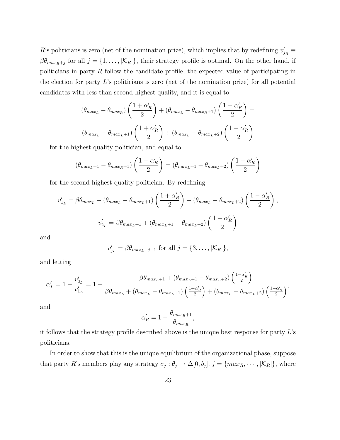R's politicians is zero (net of the nomination prize), which implies that by redefining  $v'_{jR} \equiv$  $\beta\theta_{max_R+j}$  for all  $j = \{1, \ldots, |\mathcal{K}_R|\}$ , their strategy profile is optimal. On the other hand, if politicians in party R follow the candidate profile, the expected value of participating in the election for party  $L$ 's politicians is zero (net of the nomination prize) for all potential candidates with less than second highest quality, and it is equal to

$$
(\theta_{max_L} - \theta_{max_R})\left(\frac{1+\alpha'_R}{2}\right) + (\theta_{max_L} - \theta_{max_R+1})\left(\frac{1-\alpha'_R}{2}\right) =
$$

$$
(\theta_{max_L} - \theta_{max_L+1})\left(\frac{1+\alpha'_R}{2}\right) + (\theta_{max_L} - \theta_{max_L+2})\left(\frac{1-\alpha'_R}{2}\right)
$$

for the highest quality politician, and equal to

$$
(\theta_{max_L+1} - \theta_{max_R+1})\left(\frac{1-\alpha'_R}{2}\right) = (\theta_{max_L+1} - \theta_{max_L+2})\left(\frac{1-\alpha'_R}{2}\right)
$$

for the second highest quality politician. By redefining

$$
v'_{1_L} = \beta \theta_{max_L} + (\theta_{max_L} - \theta_{max_L+1}) \left( \frac{1 + \alpha'_R}{2} \right) + (\theta_{max_L} - \theta_{max_L+2}) \left( \frac{1 - \alpha'_R}{2} \right),
$$
  

$$
v'_{2_L} = \beta \theta_{max_L+1} + (\theta_{max_L+1} - \theta_{max_L+2}) \left( \frac{1 - \alpha'_R}{2} \right)
$$

and

$$
v'_{j_L} = \beta \theta_{max_L + j - 1} \text{ for all } j = \{3, \dots, |\mathcal{K}_R|\},
$$

and letting

$$
\alpha'_{L} = 1 - \frac{v'_{2_L}}{v'_{1_L}} = 1 - \frac{\beta \theta_{max_L + 1} + (\theta_{max_L + 1} - \theta_{max_L + 2}) \left(\frac{1 - \alpha'_R}{2}\right)}{\beta \theta_{max_L} + (\theta_{max_L} - \theta_{max_L + 1}) \left(\frac{1 + \alpha'_R}{2}\right) + (\theta_{max_L} - \theta_{max_L + 2}) \left(\frac{1 - \alpha'_R}{2}\right)},
$$

and

$$
\alpha'_R=1-\frac{\theta_{max_R+1}}{\theta_{max_R}},
$$

it follows that the strategy profile described above is the unique best response for party L's politicians.

In order to show that this is the unique equilibrium of the organizational phase, suppose that party R's members play any strategy  $\sigma_j : \theta_j \to \Delta[0, b_j], j = \{max_R, \dots, |\mathcal{K}_R|\},$  where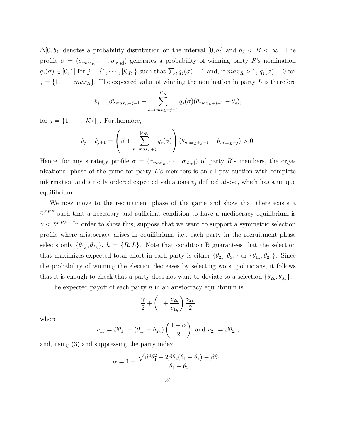$\Delta[0, b_j]$  denotes a probability distribution on the interval  $[0, b_j]$  and  $b_J < B < \infty$ . The profile  $\sigma = (\sigma_{max_R}, \cdots, \sigma_{|\mathcal{K}_R|})$  generates a probability of winning party R's nomination  $q_j(\sigma) \in [0,1]$  for  $j = \{1, \dots, |\mathcal{K}_R|\}$  such that  $\sum_j q_j(\sigma) = 1$  and, if  $max_R > 1$ ,  $q_j(\sigma) = 0$  for  $j = \{1, \dots, max_R\}$ . The expected value of winning the nomination in party L is therefore

$$
\hat{v}_j = \beta \theta_{max_L + j - 1} + \sum_{s=max_L + j - 1}^{|K_R|} q_s(\sigma) (\theta_{max_L + j - 1} - \theta_s),
$$

for  $j = \{1, \dots, |\mathcal{K}_L|\}$ . Furthermore,

$$
\hat{v}_j - \hat{v}_{j+1} = \left(\beta + \sum_{s=max_L+j}^{|K_R|} q_s(\sigma)\right) \left(\theta_{max_L+j-1} - \theta_{max_L+j}\right) > 0.
$$

Hence, for any strategy profile  $\sigma = (\sigma_{max_R}, \cdots, \sigma_{|\mathcal{K}_R|})$  of party R's members, the organizational phase of the game for party  $L$ 's members is an all-pay auction with complete information and strictly ordered expected valuations  $\hat{v}_j$  defined above, which has a unique equilibrium.

We now move to the recruitment phase of the game and show that there exists a  $\bar{\gamma}^{FPP}$  such that a necessary and sufficient condition to have a mediocracy equilibrium is  $\gamma < \bar{\gamma}^{FPP}$ . In order to show this, suppose that we want to support a symmetric selection profile where aristocracy arises in equilibrium, i.e., each party in the recruitment phase selects only  $\{\theta_{1_h}, \theta_{2_h}\}, h = \{R, L\}.$  Note that condition B guarantees that the selection that maximizes expected total effort in each party is either  $\{\theta_{2h}, \theta_{3h}\}\$  or  $\{\theta_{1h}, \theta_{2h}\}\$ . Since the probability of winning the election decreases by selecting worst politicians, it follows that it is enough to check that a party does not want to deviate to a selection  $\{\theta_{2_h}, \theta_{3_h}\}.$ 

The expected payoff of each party  $h$  in an aristocracy equilibrium is

$$
\frac{\gamma}{2} + \left(1 + \frac{v_{2_h}}{v_{1_h}}\right) \frac{v_{2_h}}{2}
$$

where

$$
v_{1_h} = \beta \theta_{1_h} + (\theta_{1_h} - \theta_{2_h}) \left(\frac{1-\alpha}{2}\right) \text{ and } v_{2_h} = \beta \theta_{2_h},
$$

and, using (3) and suppressing the party index,

$$
\alpha = 1 - \frac{\sqrt{\beta^2 \theta_1^2 + 2\beta \theta_2 (\theta_1 - \theta_2)} - \beta \theta_1}{\theta_1 - \theta_2}.
$$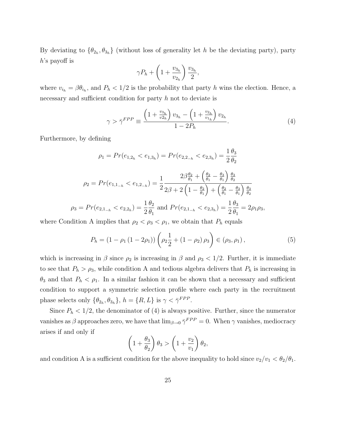By deviating to  $\{\theta_{2h}, \theta_{3h}\}$  (without loss of generality let h be the deviating party), party h's payoff is

$$
\gamma P_h + \left(1 + \frac{v_{3_h}}{v_{2_h}}\right) \frac{v_{3_h}}{2},
$$

where  $v_{i_h} = \beta \theta_{i_h}$ , and  $P_h < 1/2$  is the probability that party h wins the election. Hence, a necessary and sufficient condition for party h not to deviate is

$$
\gamma > \bar{\gamma}^{FPP} \equiv \frac{\left(1 + \frac{v_{3h}}{v_{2h}}\right)v_{3h} - \left(1 + \frac{v_{2h}}{v_{1h}}\right)v_{2h}}{1 - 2P_h}.\tag{4}
$$

Furthermore, by defining

$$
\rho_1 = Pr(e_{1,2_h} < e_{1,3_h}) = Pr(e_{2,2_h} < e_{2,3_h}) = \frac{1}{2} \frac{\theta_3}{\theta_2}
$$
\n
$$
\rho_2 = Pr(e_{1,1_{-h}} < e_{1,2_{-h}}) = \frac{1}{2} \frac{2\beta \frac{\theta_2}{\theta_1} + \left(\frac{\theta_2}{\theta_1} - \frac{\theta_3}{\theta_1}\right) \frac{\theta_3}{\theta_2}}{2\beta + 2\left(1 - \frac{\theta_2}{\theta_1}\right) + \left(\frac{\theta_2}{\theta_1} - \frac{\theta_3}{\theta_1}\right) \frac{\theta_3}{\theta_2}}
$$
\n
$$
\rho_3 = Pr(e_{2,1_{-h}} < e_{2,2_h}) = \frac{1}{2} \frac{\theta_2}{\theta_1} \text{ and } Pr(e_{2,1_{-h}} < e_{2,3_h}) = \frac{1}{2} \frac{\theta_3}{\theta_1} = 2\rho_1 \rho_3,
$$

where Condition A implies that  $\rho_2 < \rho_3 < \rho_1$ , we obtain that  $P_h$  equals

$$
P_h = (1 - \rho_1 (1 - 2\rho_1)) \left( \rho_2 \frac{1}{2} + (1 - \rho_2) \rho_3 \right) \in (\rho_3, \rho_1), \tag{5}
$$

which is increasing in  $\beta$  since  $\rho_2$  is increasing in  $\beta$  and  $\rho_3 < 1/2$ . Further, it is immediate to see that  $P_h > \rho_3$ , while condition A and tedious algebra delivers that  $P_h$  is increasing in  $\theta_3$  and that  $P_h < \rho_1$ . In a similar fashion it can be shown that a necessary and sufficient condition to support a symmetric selection profile where each party in the recruitment phase selects only  $\{\theta_{2_h}, \theta_{3_h}\}, h = \{R, L\}$  is  $\gamma < \bar{\gamma}^{FPP}$ .

Since  $P_h < 1/2$ , the denominator of (4) is always positive. Further, since the numerator vanishes as  $\beta$  approaches zero, we have that  $\lim_{\beta \to 0} \bar{\gamma}^{FPP} = 0$ . When  $\gamma$  vanishes, mediocracy arises if and only if

$$
\left(1+\frac{\theta_3}{\theta_2}\right)\theta_3 > \left(1+\frac{v_2}{v_1}\right)\theta_2,
$$

and condition A is a sufficient condition for the above inequality to hold since  $v_2/v_1 < \theta_2/\theta_1$ .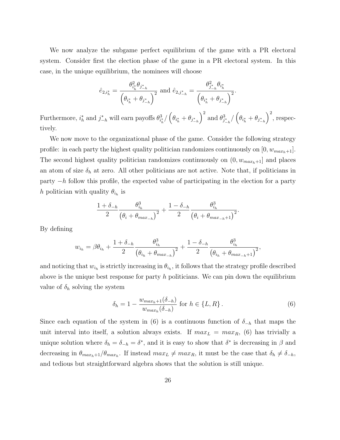We now analyze the subgame perfect equilibrium of the game with a PR electoral system. Consider first the election phase of the game in a PR electoral system. In this case, in the unique equilibrium, the nominees will choose

$$
\hat{e}_{2,i_h^*} = \frac{\theta_{i_h^*}^2 \theta_{j_{-h}^*}}{\left(\theta_{i_h^*} + \theta_{j_{-h}^*}\right)^2} \text{ and } \hat{e}_{2,j_{-h}^*} = \frac{\theta_{j_{-h}^*}^2 \theta_{i_h^*}}{\left(\theta_{i_h^*} + \theta_{j_{-h}^*}\right)^2}
$$

.

Furthermore,  $i_h^*$  and  $j_{-h}^*$  will earn payoffs  $\theta_{i_h^*}^3 / (\theta_{i_h^*} + \theta_{j_{-h}^*}$  $\int^2$  and  $\theta_{j_{-h}^*}^3 / (\theta_{i_h^*} + \theta_{j_{-h}^*}$  $\big)^2$ , respectively.

We now move to the organizational phase of the game. Consider the following strategy profile: in each party the highest quality politician randomizes continuously on  $[0, w_{max_h+1}]$ . The second highest quality politician randomizes continuously on  $(0, w_{max_h+1}]$  and places an atom of size  $\delta_h$  at zero. All other politicians are not active. Note that, if politicians in party  $-h$  follow this profile, the expected value of participating in the election for a party h politician with quality  $\theta_{i_h}$  is

$$
\frac{1+\delta_{-h}}{2} \frac{\theta_{i_h}^3}{\left(\theta_i + \theta_{max_{-h}}\right)^2} + \frac{1-\delta_{-h}}{2} \frac{\theta_{i_h}^3}{\left(\theta_i + \theta_{max_{-h}+1}\right)^2}.
$$

By defining

$$
w_{i_h} = \beta \theta_{i_h} + \frac{1 + \delta_{-h}}{2} \frac{\theta_{i_h}^3}{(\theta_{i_h} + \theta_{max_{-h}})^2} + \frac{1 - \delta_{-h}}{2} \frac{\theta_{i_h}^3}{(\theta_{i_h} + \theta_{max_{-h}+1})^2},
$$

and noticing that  $w_{i_h}$  is strictly increasing in  $\theta_{i_h}$ , it follows that the strategy profile described above is the unique best response for party h politicians. We can pin down the equilibrium value of  $\delta_h$  solving the system

$$
\delta_h = 1 - \frac{w_{max_h + 1}(\delta_{-h})}{w_{max_h}(\delta_{-h})} \text{ for } h \in \{L, R\}.
$$
 (6)

Since each equation of the system in (6) is a continuous function of  $\delta_{-h}$  that maps the unit interval into itself, a solution always exists. If  $max<sub>L</sub> = max<sub>R</sub>$ , (6) has trivially a unique solution where  $\delta_h = \delta_{-h} = \delta^*$ , and it is easy to show that  $\delta^*$  is decreasing in  $\beta$  and decreasing in  $\theta_{max_h+1}/\theta_{max_h}$ . If instead  $max_L \neq max_R$ , it must be the case that  $\delta_h \neq \delta_{-h}$ , and tedious but straightforward algebra shows that the solution is still unique.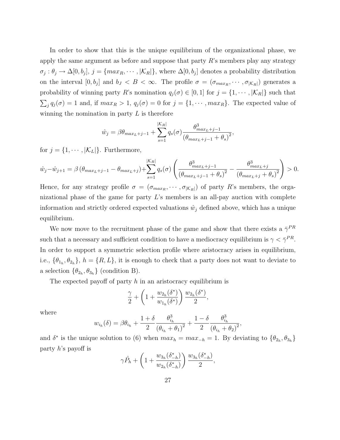In order to show that this is the unique equilibrium of the organizational phase, we apply the same argument as before and suppose that party  $R$ 's members play any strategy  $\sigma_j : \theta_j \to \Delta[0, b_j], j = \{max_R, \cdots, |\mathcal{K}_R|\},$  where  $\Delta[0, b_j]$  denotes a probability distribution on the interval  $[0, b_j]$  and  $b_J < B < \infty$ . The profile  $\sigma = (\sigma_{max_R}, \cdots, \sigma_{|\mathcal{K}_R|})$  generates a probability of winning party R's nomination  $q_j(\sigma) \in [0,1]$  for  $j = \{1, \dots, |\mathcal{K}_R|\}$  such that  $\sum_{j} q_j(\sigma) = 1$  and, if  $max_R > 1$ ,  $q_j(\sigma) = 0$  for  $j = \{1, \dots, max_R\}$ . The expected value of winning the nomination in party  $L$  is therefore

$$
\hat{w}_j = \beta \theta_{max_L + j - 1} + \sum_{s=1}^{|\mathcal{K}_R|} q_s(\sigma) \frac{\theta_{max_L + j - 1}^3}{(\theta_{max_L + j - 1} + \theta_s)^2}
$$

,

for  $j = \{1, \dots, |\mathcal{K}_L|\}$ . Furthermore,

$$
\hat{w}_j - \hat{w}_{j+1} = \beta \left( \theta_{max_L + j - 1} - \theta_{max_L + j} \right) + \sum_{s=1}^{|\mathcal{K}_R|} q_s(\sigma) \left( \frac{\theta_{max_L + j - 1}^3}{\left( \theta_{max_L + j - 1} + \theta_s \right)^2} - \frac{\theta_{max_L + j}^3}{\left( \theta_{max_L + j} + \theta_s \right)^2} \right) > 0.
$$

Hence, for any strategy profile  $\sigma = (\sigma_{max_R}, \cdots, \sigma_{|\mathcal{K}_R|})$  of party R's members, the organizational phase of the game for party  $L$ 's members is an all-pay auction with complete information and strictly ordered expected valuations  $\hat{w}_j$  defined above, which has a unique equilibrium.

We now move to the recruitment phase of the game and show that there exists a  $\bar{\gamma}^{PR}$ such that a necessary and sufficient condition to have a mediocracy equilibrium is  $\gamma < \bar{\gamma}^{PR}$ . In order to support a symmetric selection profile where aristocracy arises in equilibrium, i.e.,  $\{\theta_{1_h}, \theta_{2_h}\}, h = \{R, L\},\$ it is enough to check that a party does not want to deviate to a selection  $\{\theta_{2_h}, \theta_{3_h}\}$  (condition B).

The expected payoff of party h in an aristocracy equilibrium is

$$
\frac{\gamma}{2} + \left(1 + \frac{w_{2h}(\delta^*)}{w_{1h}(\delta^*)}\right) \frac{w_{2h}(\delta^*)}{2},
$$

where

$$
w_{i_h}(\delta) = \beta \theta_{i_h} + \frac{1+\delta}{2} \frac{\theta_{i_h}^3}{(\theta_{i_h} + \theta_1)^2} + \frac{1-\delta}{2} \frac{\theta_{i_h}^3}{(\theta_{i_h} + \theta_2)^2},
$$

and  $\delta^*$  is the unique solution to (6) when  $max_h = max_{-h} = 1$ . By deviating to  $\{\theta_{2h}, \theta_{3h}\}\$ party h's payoff is

$$
\gamma \hat{P}_h + \left(1 + \frac{w_{3h}(\delta_{-h}^*)}{w_{2h}(\delta_{-h}^*)}\right) \frac{w_{3h}(\delta_{-h}^*)}{2},
$$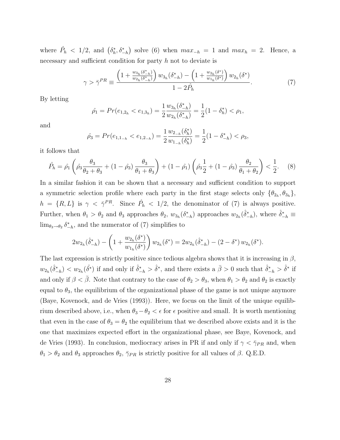where  $\hat{P}_h < 1/2$ , and  $(\delta_h^*, \delta_{-h}^*)$  solve (6) when  $max_{-h} = 1$  and  $max_h = 2$ . Hence, a necessary and sufficient condition for party h not to deviate is

$$
\gamma > \bar{\gamma}^{PR} \equiv \frac{\left(1 + \frac{w_{3h}(\delta_{-h}^*)}{w_{2h}(\delta_{-h}^*)}\right)w_{3h}(\delta_{-h}^*) - \left(1 + \frac{w_{2h}(\delta^*)}{w_{1h}(\delta^*)}\right)w_{2h}(\delta^*)}{1 - 2\hat{P}_h}.\tag{7}
$$

By letting

$$
\hat{\rho}_1 = Pr(e_{1,2_h} < e_{1,3_h}) = \frac{1}{2} \frac{w_{3_h}(\delta_{-h}^*)}{w_{2_h}(\delta_{-h}^*)} = \frac{1}{2} (1 - \delta_h^*) < \rho_1,
$$

and

$$
\hat{\rho_3} = Pr(e_{1,1-h} < e_{1,2-h}) = \frac{1}{2} \frac{w_{2-h}(\delta_h^*)}{w_{1-h}(\delta_h^*)} = \frac{1}{2} (1 - \delta_{-h}^*) < \rho_3,
$$

it follows that

$$
\hat{P}_h = \hat{\rho}_1 \left( \hat{\rho}_3 \frac{\theta_3}{\theta_2 + \theta_3} + (1 - \hat{\rho}_3) \frac{\theta_3}{\theta_1 + \theta_3} \right) + (1 - \hat{\rho}_1) \left( \hat{\rho}_3 \frac{1}{2} + (1 - \hat{\rho}_3) \frac{\theta_2}{\theta_1 + \theta_2} \right) < \frac{1}{2}.\tag{8}
$$

In a similar fashion it can be shown that a necessary and sufficient condition to support a symmetric selection profile where each party in the first stage selects only  $\{\theta_{2h}, \theta_{3h}\},$  $h = \{R, L\}$  is  $\gamma < \bar{\gamma}^{PR}$ . Since  $\hat{P}_h < 1/2$ , the denominator of (7) is always positive. Further, when  $\theta_1 > \theta_2$  and  $\theta_3$  approaches  $\theta_2$ ,  $w_{3_h}(\delta_{-h}^*)$  approaches  $w_{2_h}(\hat{\delta}_{-h}^*)$ , where  $\hat{\delta}_{-h}^* \equiv$  $\lim_{\theta_3 \to \theta_2} \delta^*_{-h}$ , and the numerator of (7) simplifies to

$$
2w_{2h}(\hat{\delta}_{-h}^*) - \left(1 + \frac{w_{2h}(\delta^*)}{w_{1h}(\delta^*)}\right)w_{2h}(\delta^*) = 2w_{2h}(\hat{\delta}_{-h}^*) - (2 - \delta^*)w_{2h}(\delta^*).
$$

The last expression is strictly positive since tedious algebra shows that it is increasing in  $\beta$ ,  $w_{2h}(\hat{\delta}_{-h}^*) < w_{2h}(\hat{\delta}^*)$  if and only if  $\hat{\delta}_{-h}^* > \hat{\delta}^*$ , and there exists a  $\bar{\beta} > 0$  such that  $\hat{\delta}_{-h}^* > \hat{\delta}^*$  if and only if  $\beta < \bar{\beta}$ . Note that contrary to the case of  $\theta_2 > \theta_3$ , when  $\theta_1 > \theta_2$  and  $\theta_2$  is exactly equal to  $\theta_3$ , the equilibrium of the organizational phase of the game is not unique anymore (Baye, Kovenock, and de Vries (1993)). Here, we focus on the limit of the unique equilibrium described above, i.e., when  $\theta_3 - \theta_2 < \epsilon$  for  $\epsilon$  positive and small. It is worth mentioning that even in the case of  $\theta_3 = \theta_2$  the equilibrium that we described above exists and it is the one that maximizes expected effort in the organizational phase, see Baye, Kovenock, and de Vries (1993). In conclusion, mediocracy arises in PR if and only if  $\gamma < \bar{\gamma}_{PR}$  and, when  $\theta_1 > \theta_2$  and  $\theta_3$  approaches  $\theta_2$ ,  $\bar{\gamma}_{PR}$  is strictly positive for all values of  $\beta$ . Q.E.D.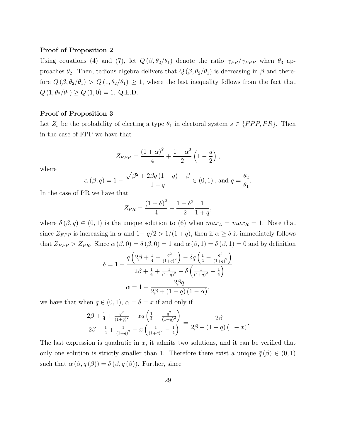#### Proof of Proposition 2

Using equations (4) and (7), let  $Q(\beta, \theta_2/\theta_1)$  denote the ratio  $\bar{\gamma}_{PR}/\bar{\gamma}_{FPP}$  when  $\theta_3$  approaches  $\theta_2$ . Then, tedious algebra delivers that  $Q(\beta, \theta_2/\theta_1)$  is decreasing in  $\beta$  and therefore  $Q(\beta, \theta_2/\theta_1) > Q(1, \theta_2/\theta_1) \geq 1$ , where the last inequality follows from the fact that  $Q\left(1,\theta_{2}/\theta_{1}\right)\geq Q\left(1,0\right)=1.\ \, \text{Q.E.D.}$ 

#### Proof of Proposition 3

Let  $Z_s$  be the probability of electing a type  $\theta_1$  in electoral system  $s \in \{FPP, PR\}$ . Then in the case of FPP we have that

$$
Z_{FPP} = \frac{(1+\alpha)^2}{4} + \frac{1-\alpha^2}{2} \left(1 - \frac{q}{2}\right)
$$

,

,

.

where

$$
\alpha(\beta, q) = 1 - \frac{\sqrt{\beta^2 + 2\beta q (1 - q)} - \beta}{1 - q} \in (0, 1), \text{ and } q = \frac{\theta_2}{\theta_1}
$$

In the case of PR we have that

$$
Z_{PR} = \frac{(1+\delta)^2}{4} + \frac{1-\delta^2}{2} \frac{1}{1+q}
$$

where  $\delta(\beta, q) \in (0, 1)$  is the unique solution to (6) when  $max_L = max_R = 1$ . Note that since  $Z_{FPP}$  is increasing in  $\alpha$  and  $1-q/2 > 1/(1+q)$ , then if  $\alpha \geq \delta$  it immediately follows that  $Z_{FPP} > Z_{PR}$ . Since  $\alpha(\beta, 0) = \delta(\beta, 0) = 1$  and  $\alpha(\beta, 1) = \delta(\beta, 1) = 0$  and by definition

$$
\delta = 1 - \frac{q\left(2\beta + \frac{1}{4} + \frac{q^2}{(1+q)^2}\right) - \delta q \left(\frac{1}{4} - \frac{q^2}{(1+q)^2}\right)}{2\beta + \frac{1}{4} + \frac{1}{(1+q)^2} - \delta \left(\frac{1}{(1+q)^2} - \frac{1}{4}\right)}
$$

$$
\alpha = 1 - \frac{2\beta q}{2\beta + (1-q)(1-\alpha)},
$$

we have that when  $q \in (0, 1)$ ,  $\alpha = \delta = x$  if and only if

$$
\frac{2\beta + \frac{1}{4} + \frac{q^2}{(1+q)^2} - xq\left(\frac{1}{4} - \frac{q^2}{(1+q)^2}\right)}{2\beta + \frac{1}{4} + \frac{1}{(1+q)^2} - x\left(\frac{1}{(1+q)^2} - \frac{1}{4}\right)} = \frac{2\beta}{2\beta + (1-q)(1-x)}.
$$

The last expression is quadratic in  $x$ , it admits two solutions, and it can be verified that only one solution is strictly smaller than 1. Therefore there exist a unique  $\bar{q}(\beta) \in (0,1)$ such that  $\alpha(\beta, \bar{q}(\beta)) = \delta(\beta, \bar{q}(\beta))$ . Further, since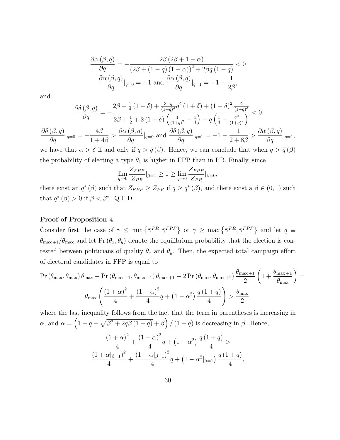$$
\frac{\partial \alpha (\beta, q)}{\partial q} = -\frac{2\beta (2\beta + 1 - \alpha)}{(2\beta + (1 - q) (1 - \alpha))^2 + 2\beta q (1 - q)} < 0
$$

$$
\frac{\partial \alpha (\beta, q)}{\partial q}|_{q=0} = -1 \text{ and } \frac{\partial \alpha (\beta, q)}{\partial q}|_{q=1} = -1 - \frac{1}{2\beta},
$$

and

$$
\frac{\partial \delta(\beta, q)}{\partial q} = -\frac{2\beta + \frac{1}{4}(1-\delta) + \frac{3-q}{(1+q)^3}q^2(1+\delta) + (1-\delta)^2\frac{2}{(1+q)^3}}{2\beta + \frac{1}{2} + 2(1-\delta)\left(\frac{1}{(1+q)^2} - \frac{1}{4}\right) - q\left(\frac{1}{4} - \frac{q^2}{(1+q)^2}\right)} < 0
$$
  

$$
\frac{\partial \delta(\beta, q)}{\partial q}|_{q=0} = -\frac{4\beta}{1+4\beta} > \frac{\partial \alpha(\beta, q)}{\partial q}|_{q=0} \text{ and } \frac{\partial \delta(\beta, q)}{\partial q}|_{q=1} = -1 - \frac{1}{2+8\beta} > \frac{\partial \alpha(\beta, q)}{\partial q}|_{q=1},
$$

we have that  $\alpha > \delta$  if and only if  $q > \bar{q}(\beta)$ . Hence, we can conclude that when  $q > \bar{q}(\beta)$ the probability of electing a type  $\theta_1$  is higher in FPP than in PR. Finally, since

$$
\lim_{q \to 0} \frac{Z_{FPP}}{Z_{PR}}|_{\beta=1} \ge 1 \ge \lim_{q \to 0} \frac{Z_{FPP}}{Z_{PR}}|_{\beta=0},
$$

there exist an  $q^*(\beta)$  such that  $Z_{FPP} \geq Z_{PR}$  if  $q \geq q^*(\beta)$ , and there exist a  $\beta \in (0,1)$  such that  $q^*(\beta) > 0$  if  $\beta < \beta^*$ . Q.E.D.

#### Proof of Proposition 4

Consider first the case of  $\gamma \leq \min\{\bar{\gamma}^{PR}, \bar{\gamma}^{FPP}\}\$  or  $\gamma \geq \max\{\bar{\gamma}^{PR}, \bar{\gamma}^{FPP}\}\$  and let  $q \equiv$  $\theta_{\text{max}+1}/\theta_{\text{max}}$  and let Pr  $(\theta_x, \theta_y)$  denote the equilibrium probability that the election is contested between politicians of quality  $\theta_x$  and  $\theta_y$ . Then, the expected total campaign effort of electoral candidates in FPP is equal to

$$
\Pr\left(\theta_{\max}, \theta_{\max}\right) \theta_{\max} + \Pr\left(\theta_{\max+1}, \theta_{\max+1}\right) \theta_{\max+1} + 2 \Pr\left(\theta_{\max}, \theta_{\max+1}\right) \frac{\theta_{\max+1}}{2} \left(1 + \frac{\theta_{\max+1}}{\theta_{\max}}\right) =
$$

$$
\theta_{\max} \left(\frac{\left(1 + \alpha\right)^2}{4} + \frac{\left(1 - \alpha\right)^2}{4}q + \left(1 - \alpha^2\right)\frac{q\left(1 + q\right)}{4}\right) > \frac{\theta_{\max}}{2},
$$

where the last inequality follows from the fact that the term in parentheses is increasing in  $\alpha$ , and  $\alpha = \left(1 - q - \sqrt{\beta^2 + 2q\beta(1-q)} + \beta\right) / (1-q)$  is decreasing in  $\beta$ . Hence,

$$
\frac{(1+\alpha)^2}{4} + \frac{(1-\alpha)^2}{4}q + (1-\alpha^2)\frac{q(1+q)}{4} > \frac{(1+\alpha_{\beta=1})^2}{4} + \frac{(1-\alpha_{\beta=1})^2}{4}q + (1-\alpha^2_{\beta=1})\frac{q(1+q)}{4},
$$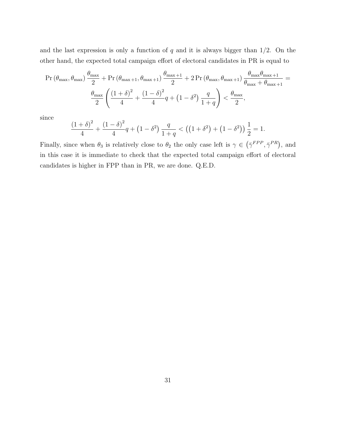and the last expression is only a function of  $q$  and it is always bigger than  $1/2$ . On the other hand, the expected total campaign effort of electoral candidates in PR is equal to

$$
\Pr\left(\theta_{\max}, \theta_{\max}\right) \frac{\theta_{\max}}{2} + \Pr\left(\theta_{\max+1}, \theta_{\max+1}\right) \frac{\theta_{\max+1}}{2} + 2 \Pr\left(\theta_{\max}, \theta_{\max+1}\right) \frac{\theta_{\max} \theta_{\max+1}}{\theta_{\max} + \theta_{\max+1}} = \frac{\theta_{\max}}{2} \left( \frac{\left(1+\delta\right)^2}{4} + \frac{\left(1-\delta\right)^2}{4}q + \left(1-\delta^2\right) \frac{q}{1+q} \right) < \frac{\theta_{\max}}{2},
$$

since

$$
\frac{(1+\delta)^2}{4} + \frac{(1-\delta)^2}{4}q + (1-\delta^2)\frac{q}{1+q} < \left((1+\delta^2) + (1-\delta^2)\right)\frac{1}{2} = 1.
$$

Finally, since when  $\theta_3$  is relatively close to  $\theta_2$  the only case left is  $\gamma \in (\bar{\gamma}^{FPP}, \bar{\gamma}^{PR})$ , and in this case it is immediate to check that the expected total campaign effort of electoral candidates is higher in FPP than in PR, we are done. Q.E.D.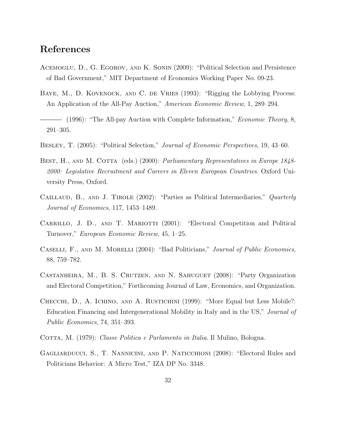### References

- Acemoglu, D., G. Egorov, and K. Sonin (2009): "Political Selection and Persistence of Bad Government," MIT Department of Economics Working Paper No. 09-23.
- BAYE, M., D. KOVENOCK, AND C. DE VRIES (1993): "Rigging the Lobbying Process: An Application of the All-Pay Auction," American Economic Review, 1, 289–294.
- $-$  (1996): "The All-pay Auction with Complete Information," *Economic Theory*, 8, 291–305.
- BESLEY, T. (2005): "Political Selection," *Journal of Economic Perspectives*, 19, 43–60.
- BEST, H., AND M. COTTA (eds.) (2000): *Parliamentary Representatives in Europe 1848*-2000: Legislative Recruitment and Careers in Eleven European Countries. Oxford University Press, Oxford.
- CAILLAUD, B., AND J. TIROLE  $(2002)$ : "Parties as Political Intermediaries," Quarterly Journal of Economics, 117, 1453–1489.
- CARRILLO, J. D., AND T. MARIOTTI (2001): "Electoral Competition and Political Turnover," European Economic Review, 45, 1–25.
- CASELLI, F., AND M. MORELLI (2004): "Bad Politicians," Journal of Public Economics, 88, 759–782.
- Castanheira, M., B. S. Crutzen, and N. Sahuguet (2008): "Party Organization and Electoral Competition," Forthcoming Journal of Law, Economics, and Organization.
- Checchi, D., A. Ichino, and A. Rustichini (1999): "More Equal but Less Mobile?: Education Financing and Intergenerational Mobility in Italy and in the US," Journal of Public Economics, 74, 351–393.
- COTTA, M. (1979): Classe Politica e Parlamento in Italia. Il Mulino, Bologna.
- Gagliarducci, S., T. Nannicini, and P. Naticchioni (2008): "Electoral Rules and Politicians Behavior: A Micro Test," IZA DP No. 3348.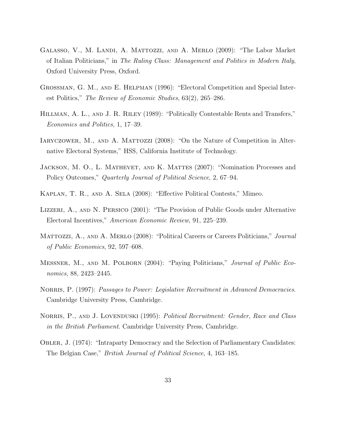- Galasso, V., M. Landi, A. Mattozzi, and A. Merlo (2009): "The Labor Market of Italian Politicians," in The Ruling Class: Management and Politics in Modern Italy, Oxford University Press, Oxford.
- Grossman, G. M., and E. Helpman (1996): "Electoral Competition and Special Interest Politics," The Review of Economic Studies, 63(2), 265–286.
- Hillman, A. L., and J. R. Riley (1989): "Politically Contestable Rents and Transfers," Economics and Politics, 1, 17–39.
- IARYCZOWER, M., AND A. MATTOZZI (2008): "On the Nature of Competition in Alternative Electoral Systems," HSS, California Institute of Technology.
- Jackson, M. O., L. Mathevet, and K. Mattes (2007): "Nomination Processes and Policy Outcomes," Quarterly Journal of Political Science, 2, 67–94.
- Kaplan, T. R., and A. Sela (2008): "Effective Political Contests," Mimeo.
- Lizzeri, A., and N. Persico (2001): "The Provision of Public Goods under Alternative Electoral Incentives," American Economic Review, 91, 225–239.
- MATTOZZI, A., AND A. MERLO (2008): "Political Careers or Careers Politicians," Journal of Public Economics, 92, 597–608.
- Messner, M., and M. Polborn (2004): "Paying Politicians," Journal of Public Economics, 88, 2423–2445.
- NORRIS, P. (1997): Passages to Power: Legislative Recruitment in Advanced Democracies. Cambridge University Press, Cambridge.
- NORRIS, P., AND J. LOVENDUSKI (1995): *Political Recruitment: Gender, Race and Class* in the British Parliament. Cambridge University Press, Cambridge.
- Obler, J. (1974): "Intraparty Democracy and the Selection of Parliamentary Candidates: The Belgian Case," British Journal of Political Science, 4, 163–185.